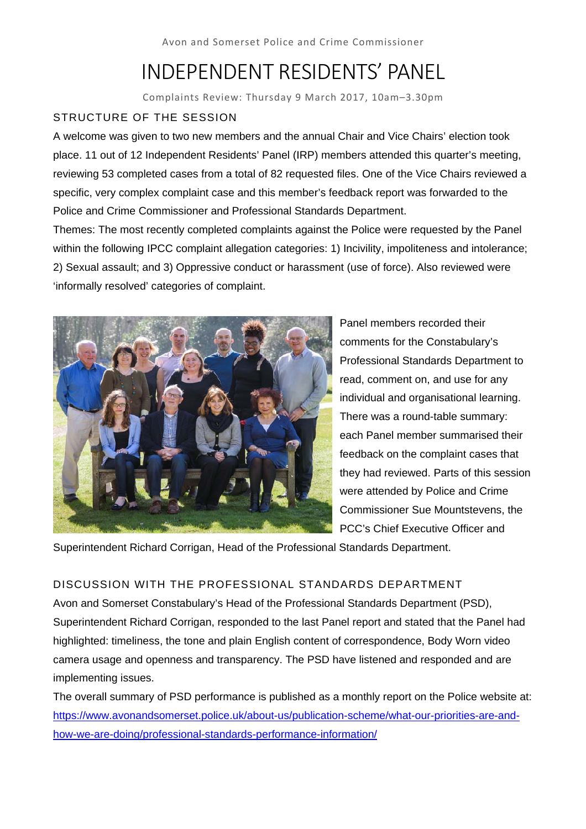# INDEPENDENT RESIDENTS' PANEL

Complaints Review: Thursday 9 March 2017, 10am–3.30pm

# STRUCTURE OF THE SESSION

A welcome was given to two new members and the annual Chair and Vice Chairs' election took place. 11 out of 12 Independent Residents' Panel (IRP) members attended this quarter's meeting, reviewing 53 completed cases from a total of 82 requested files. One of the Vice Chairs reviewed a specific, very complex complaint case and this member's feedback report was forwarded to the Police and Crime Commissioner and Professional Standards Department.

Themes: The most recently completed complaints against the Police were requested by the Panel within the following IPCC complaint allegation categories: 1) Incivility, impoliteness and intolerance; 2) Sexual assault; and 3) Oppressive conduct or harassment (use of force). Also reviewed were 'informally resolved' categories of complaint.



Panel members recorded their comments for the Constabulary's Professional Standards Department to read, comment on, and use for any individual and organisational learning. There was a round-table summary: each Panel member summarised their feedback on the complaint cases that they had reviewed. Parts of this session were attended by Police and Crime Commissioner Sue Mountstevens, the PCC's Chief Executive Officer and

Superintendent Richard Corrigan, Head of the Professional Standards Department.

# DISCUSSION WITH THE PROFESSIONAL STANDARDS DEPARTMENT

Avon and Somerset Constabulary's Head of the Professional Standards Department (PSD), Superintendent Richard Corrigan, responded to the last Panel report and stated that the Panel had highlighted: timeliness, the tone and plain English content of correspondence, Body Worn video camera usage and openness and transparency. The PSD have listened and responded and are implementing issues.

The overall summary of PSD performance is published as a monthly report on the Police website at: https://www.avonandsomerset.police.uk/about-us/publication-scheme/what-our-priorities-are-andhow-we-are-doing/professional-standards-performance-information/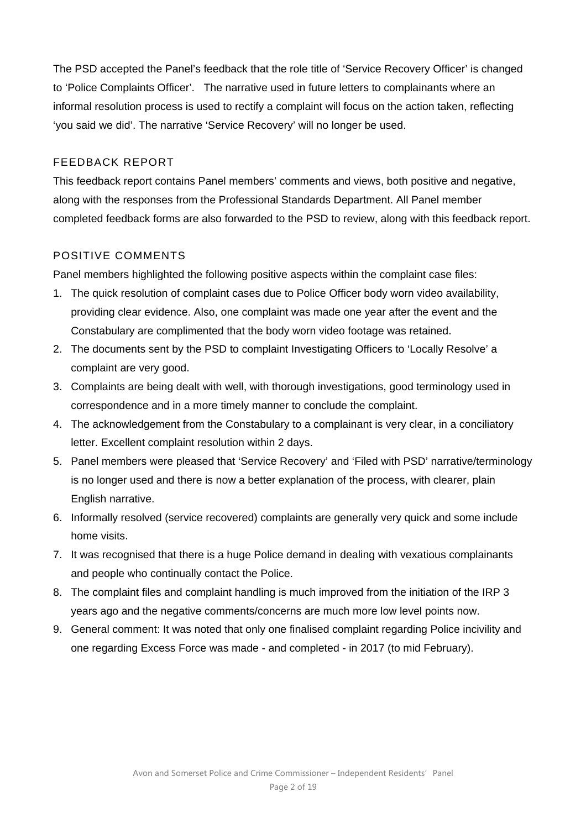The PSD accepted the Panel's feedback that the role title of 'Service Recovery Officer' is changed to 'Police Complaints Officer'. The narrative used in future letters to complainants where an informal resolution process is used to rectify a complaint will focus on the action taken, reflecting 'you said we did'. The narrative 'Service Recovery' will no longer be used.

## FEEDBACK REPORT

This feedback report contains Panel members' comments and views, both positive and negative, along with the responses from the Professional Standards Department. All Panel member completed feedback forms are also forwarded to the PSD to review, along with this feedback report.

## POSITIVE COMMENTS

Panel members highlighted the following positive aspects within the complaint case files:

- 1. The quick resolution of complaint cases due to Police Officer body worn video availability, providing clear evidence. Also, one complaint was made one year after the event and the Constabulary are complimented that the body worn video footage was retained.
- 2. The documents sent by the PSD to complaint Investigating Officers to 'Locally Resolve' a complaint are very good.
- 3. Complaints are being dealt with well, with thorough investigations, good terminology used in correspondence and in a more timely manner to conclude the complaint.
- 4. The acknowledgement from the Constabulary to a complainant is very clear, in a conciliatory letter. Excellent complaint resolution within 2 days.
- 5. Panel members were pleased that 'Service Recovery' and 'Filed with PSD' narrative/terminology is no longer used and there is now a better explanation of the process, with clearer, plain English narrative.
- 6. Informally resolved (service recovered) complaints are generally very quick and some include home visits.
- 7. It was recognised that there is a huge Police demand in dealing with vexatious complainants and people who continually contact the Police.
- 8. The complaint files and complaint handling is much improved from the initiation of the IRP 3 years ago and the negative comments/concerns are much more low level points now.
- 9. General comment: It was noted that only one finalised complaint regarding Police incivility and one regarding Excess Force was made - and completed - in 2017 (to mid February).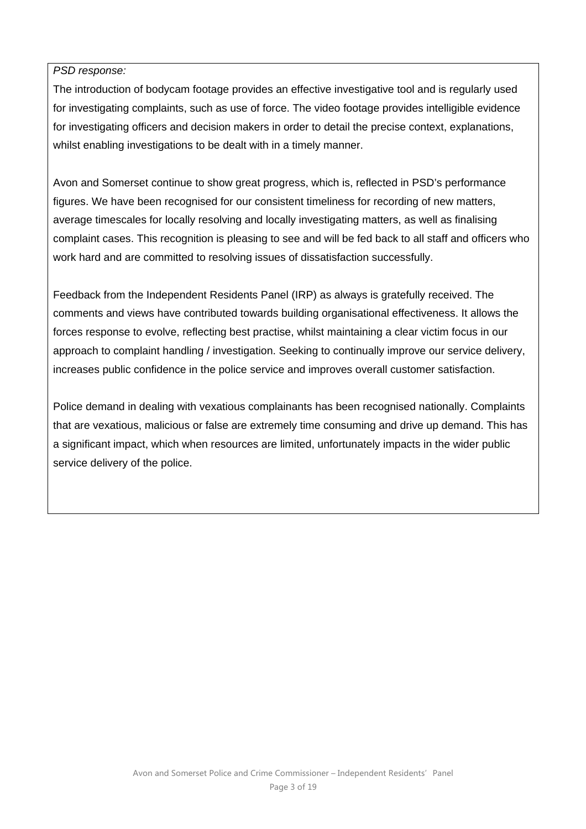### *PSD response:*

The introduction of bodycam footage provides an effective investigative tool and is regularly used for investigating complaints, such as use of force. The video footage provides intelligible evidence for investigating officers and decision makers in order to detail the precise context, explanations, whilst enabling investigations to be dealt with in a timely manner.

Avon and Somerset continue to show great progress, which is, reflected in PSD's performance figures. We have been recognised for our consistent timeliness for recording of new matters, average timescales for locally resolving and locally investigating matters, as well as finalising complaint cases. This recognition is pleasing to see and will be fed back to all staff and officers who work hard and are committed to resolving issues of dissatisfaction successfully.

Feedback from the Independent Residents Panel (IRP) as always is gratefully received. The comments and views have contributed towards building organisational effectiveness. It allows the forces response to evolve, reflecting best practise, whilst maintaining a clear victim focus in our approach to complaint handling / investigation. Seeking to continually improve our service delivery, increases public confidence in the police service and improves overall customer satisfaction.

Police demand in dealing with vexatious complainants has been recognised nationally. Complaints that are vexatious, malicious or false are extremely time consuming and drive up demand. This has a significant impact, which when resources are limited, unfortunately impacts in the wider public service delivery of the police.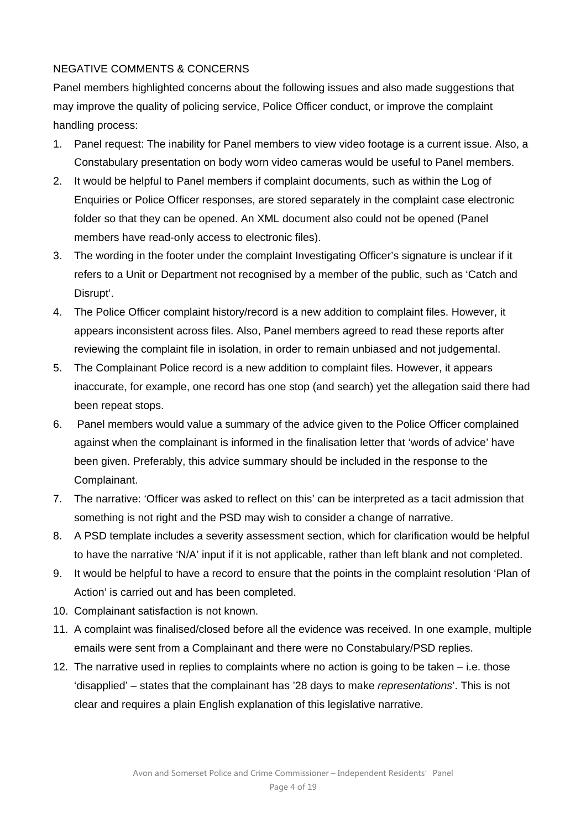## NEGATIVE COMMENTS & CONCERNS

Panel members highlighted concerns about the following issues and also made suggestions that may improve the quality of policing service, Police Officer conduct, or improve the complaint handling process:

- 1. Panel request: The inability for Panel members to view video footage is a current issue. Also, a Constabulary presentation on body worn video cameras would be useful to Panel members.
- 2. It would be helpful to Panel members if complaint documents, such as within the Log of Enquiries or Police Officer responses, are stored separately in the complaint case electronic folder so that they can be opened. An XML document also could not be opened (Panel members have read-only access to electronic files).
- 3. The wording in the footer under the complaint Investigating Officer's signature is unclear if it refers to a Unit or Department not recognised by a member of the public, such as 'Catch and Disrupt'.
- 4. The Police Officer complaint history/record is a new addition to complaint files. However, it appears inconsistent across files. Also, Panel members agreed to read these reports after reviewing the complaint file in isolation, in order to remain unbiased and not judgemental.
- 5. The Complainant Police record is a new addition to complaint files. However, it appears inaccurate, for example, one record has one stop (and search) yet the allegation said there had been repeat stops.
- 6. Panel members would value a summary of the advice given to the Police Officer complained against when the complainant is informed in the finalisation letter that 'words of advice' have been given. Preferably, this advice summary should be included in the response to the Complainant.
- 7. The narrative: 'Officer was asked to reflect on this' can be interpreted as a tacit admission that something is not right and the PSD may wish to consider a change of narrative.
- 8. A PSD template includes a severity assessment section, which for clarification would be helpful to have the narrative 'N/A' input if it is not applicable, rather than left blank and not completed.
- 9. It would be helpful to have a record to ensure that the points in the complaint resolution 'Plan of Action' is carried out and has been completed.
- 10. Complainant satisfaction is not known.
- 11. A complaint was finalised/closed before all the evidence was received. In one example, multiple emails were sent from a Complainant and there were no Constabulary/PSD replies.
- 12. The narrative used in replies to complaints where no action is going to be taken i.e. those 'disapplied' – states that the complainant has '28 days to make *representations*'. This is not clear and requires a plain English explanation of this legislative narrative.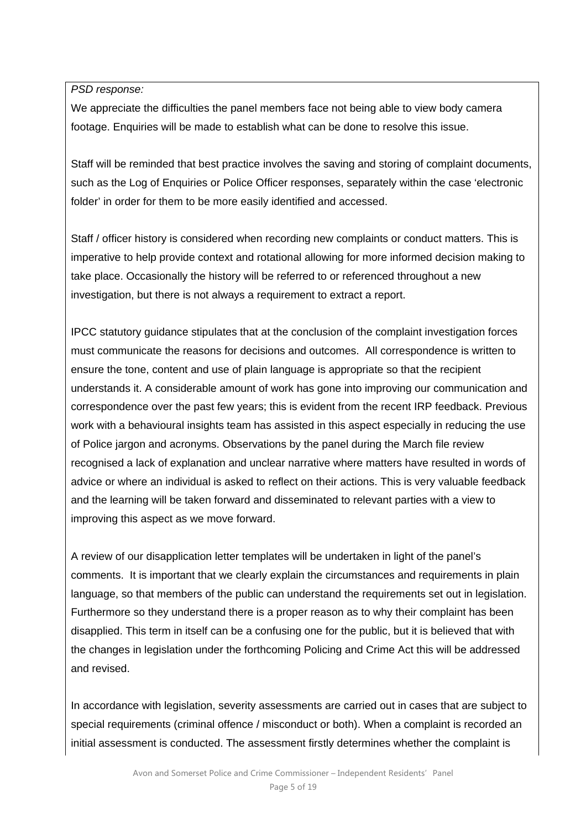*PSD response:* 

We appreciate the difficulties the panel members face not being able to view body camera footage. Enquiries will be made to establish what can be done to resolve this issue.

Staff will be reminded that best practice involves the saving and storing of complaint documents, such as the Log of Enquiries or Police Officer responses, separately within the case 'electronic folder' in order for them to be more easily identified and accessed.

Staff / officer history is considered when recording new complaints or conduct matters. This is imperative to help provide context and rotational allowing for more informed decision making to take place. Occasionally the history will be referred to or referenced throughout a new investigation, but there is not always a requirement to extract a report.

IPCC statutory guidance stipulates that at the conclusion of the complaint investigation forces must communicate the reasons for decisions and outcomes. All correspondence is written to ensure the tone, content and use of plain language is appropriate so that the recipient understands it. A considerable amount of work has gone into improving our communication and correspondence over the past few years; this is evident from the recent IRP feedback. Previous work with a behavioural insights team has assisted in this aspect especially in reducing the use of Police jargon and acronyms. Observations by the panel during the March file review recognised a lack of explanation and unclear narrative where matters have resulted in words of advice or where an individual is asked to reflect on their actions. This is very valuable feedback and the learning will be taken forward and disseminated to relevant parties with a view to improving this aspect as we move forward.

A review of our disapplication letter templates will be undertaken in light of the panel's comments. It is important that we clearly explain the circumstances and requirements in plain language, so that members of the public can understand the requirements set out in legislation. Furthermore so they understand there is a proper reason as to why their complaint has been disapplied. This term in itself can be a confusing one for the public, but it is believed that with the changes in legislation under the forthcoming Policing and Crime Act this will be addressed and revised.

In accordance with legislation, severity assessments are carried out in cases that are subject to special requirements (criminal offence / misconduct or both). When a complaint is recorded an initial assessment is conducted. The assessment firstly determines whether the complaint is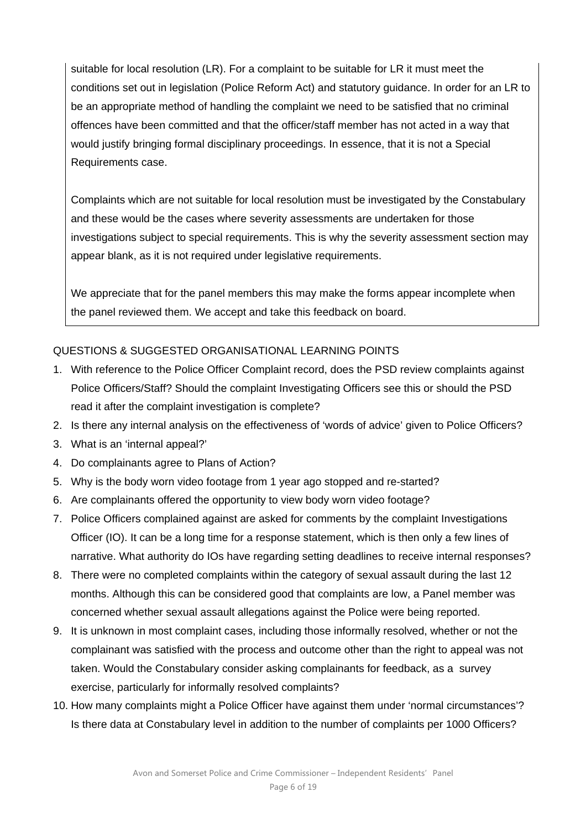suitable for local resolution (LR). For a complaint to be suitable for LR it must meet the conditions set out in legislation (Police Reform Act) and statutory guidance. In order for an LR to be an appropriate method of handling the complaint we need to be satisfied that no criminal offences have been committed and that the officer/staff member has not acted in a way that would justify bringing formal disciplinary proceedings. In essence, that it is not a Special Requirements case.

Complaints which are not suitable for local resolution must be investigated by the Constabulary and these would be the cases where severity assessments are undertaken for those investigations subject to special requirements. This is why the severity assessment section may appear blank, as it is not required under legislative requirements.

We appreciate that for the panel members this may make the forms appear incomplete when the panel reviewed them. We accept and take this feedback on board.

# QUESTIONS & SUGGESTED ORGANISATIONAL LEARNING POINTS

- 1. With reference to the Police Officer Complaint record, does the PSD review complaints against Police Officers/Staff? Should the complaint Investigating Officers see this or should the PSD read it after the complaint investigation is complete?
- 2. Is there any internal analysis on the effectiveness of 'words of advice' given to Police Officers?
- 3. What is an 'internal appeal?'
- 4. Do complainants agree to Plans of Action?
- 5. Why is the body worn video footage from 1 year ago stopped and re-started?
- 6. Are complainants offered the opportunity to view body worn video footage?
- 7. Police Officers complained against are asked for comments by the complaint Investigations Officer (IO). It can be a long time for a response statement, which is then only a few lines of narrative. What authority do IOs have regarding setting deadlines to receive internal responses?
- 8. There were no completed complaints within the category of sexual assault during the last 12 months. Although this can be considered good that complaints are low, a Panel member was concerned whether sexual assault allegations against the Police were being reported.
- 9. It is unknown in most complaint cases, including those informally resolved, whether or not the complainant was satisfied with the process and outcome other than the right to appeal was not taken. Would the Constabulary consider asking complainants for feedback, as a survey exercise, particularly for informally resolved complaints?
- 10. How many complaints might a Police Officer have against them under 'normal circumstances'? Is there data at Constabulary level in addition to the number of complaints per 1000 Officers?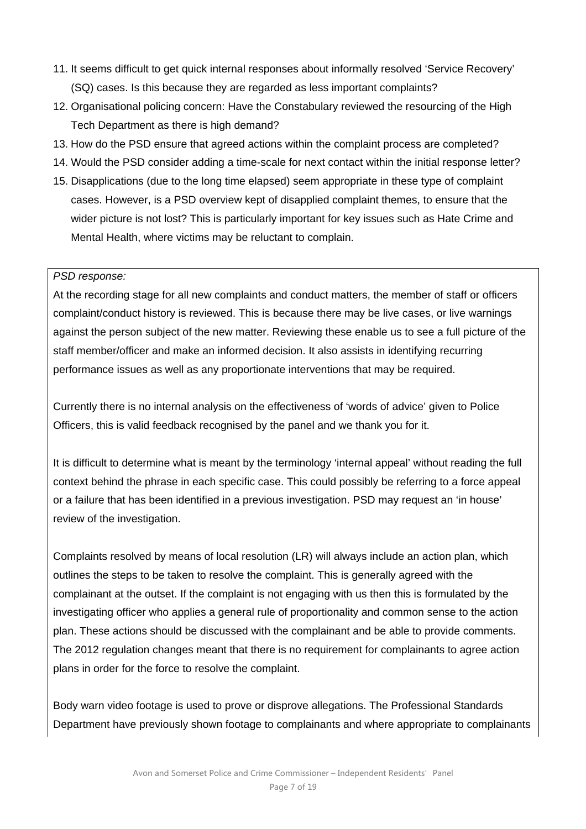- 11. It seems difficult to get quick internal responses about informally resolved 'Service Recovery' (SQ) cases. Is this because they are regarded as less important complaints?
- 12. Organisational policing concern: Have the Constabulary reviewed the resourcing of the High Tech Department as there is high demand?
- 13. How do the PSD ensure that agreed actions within the complaint process are completed?
- 14. Would the PSD consider adding a time-scale for next contact within the initial response letter?
- 15. Disapplications (due to the long time elapsed) seem appropriate in these type of complaint cases. However, is a PSD overview kept of disapplied complaint themes, to ensure that the wider picture is not lost? This is particularly important for key issues such as Hate Crime and Mental Health, where victims may be reluctant to complain.

#### *PSD response:*

At the recording stage for all new complaints and conduct matters, the member of staff or officers complaint/conduct history is reviewed. This is because there may be live cases, or live warnings against the person subject of the new matter. Reviewing these enable us to see a full picture of the staff member/officer and make an informed decision. It also assists in identifying recurring performance issues as well as any proportionate interventions that may be required.

Currently there is no internal analysis on the effectiveness of 'words of advice' given to Police Officers, this is valid feedback recognised by the panel and we thank you for it.

It is difficult to determine what is meant by the terminology 'internal appeal' without reading the full context behind the phrase in each specific case. This could possibly be referring to a force appeal or a failure that has been identified in a previous investigation. PSD may request an 'in house' review of the investigation.

Complaints resolved by means of local resolution (LR) will always include an action plan, which outlines the steps to be taken to resolve the complaint. This is generally agreed with the complainant at the outset. If the complaint is not engaging with us then this is formulated by the investigating officer who applies a general rule of proportionality and common sense to the action plan. These actions should be discussed with the complainant and be able to provide comments. The 2012 regulation changes meant that there is no requirement for complainants to agree action plans in order for the force to resolve the complaint.

Body warn video footage is used to prove or disprove allegations. The Professional Standards Department have previously shown footage to complainants and where appropriate to complainants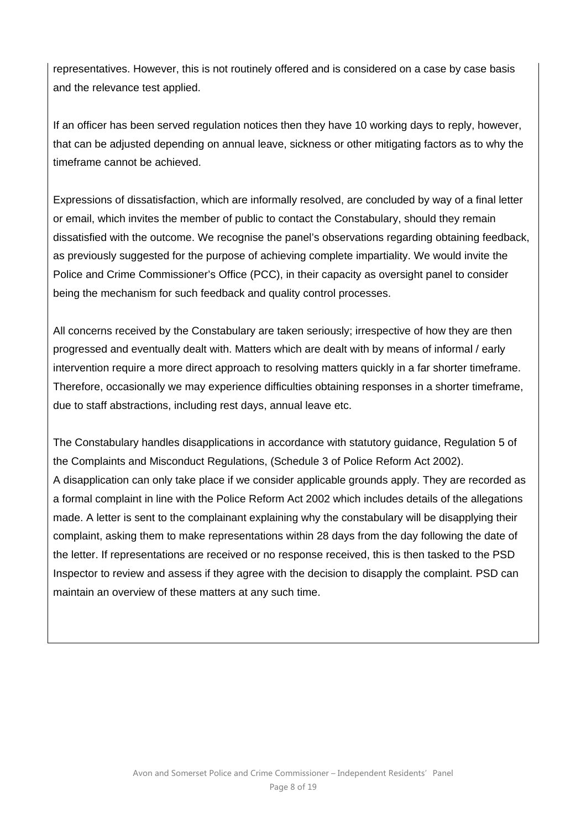representatives. However, this is not routinely offered and is considered on a case by case basis and the relevance test applied.

If an officer has been served regulation notices then they have 10 working days to reply, however, that can be adjusted depending on annual leave, sickness or other mitigating factors as to why the timeframe cannot be achieved.

Expressions of dissatisfaction, which are informally resolved, are concluded by way of a final letter or email, which invites the member of public to contact the Constabulary, should they remain dissatisfied with the outcome. We recognise the panel's observations regarding obtaining feedback, as previously suggested for the purpose of achieving complete impartiality. We would invite the Police and Crime Commissioner's Office (PCC), in their capacity as oversight panel to consider being the mechanism for such feedback and quality control processes.

All concerns received by the Constabulary are taken seriously; irrespective of how they are then progressed and eventually dealt with. Matters which are dealt with by means of informal / early intervention require a more direct approach to resolving matters quickly in a far shorter timeframe. Therefore, occasionally we may experience difficulties obtaining responses in a shorter timeframe, due to staff abstractions, including rest days, annual leave etc.

The Constabulary handles disapplications in accordance with statutory guidance, Regulation 5 of the Complaints and Misconduct Regulations, (Schedule 3 of Police Reform Act 2002). A disapplication can only take place if we consider applicable grounds apply. They are recorded as a formal complaint in line with the Police Reform Act 2002 which includes details of the allegations made. A letter is sent to the complainant explaining why the constabulary will be disapplying their complaint, asking them to make representations within 28 days from the day following the date of the letter. If representations are received or no response received, this is then tasked to the PSD Inspector to review and assess if they agree with the decision to disapply the complaint. PSD can maintain an overview of these matters at any such time.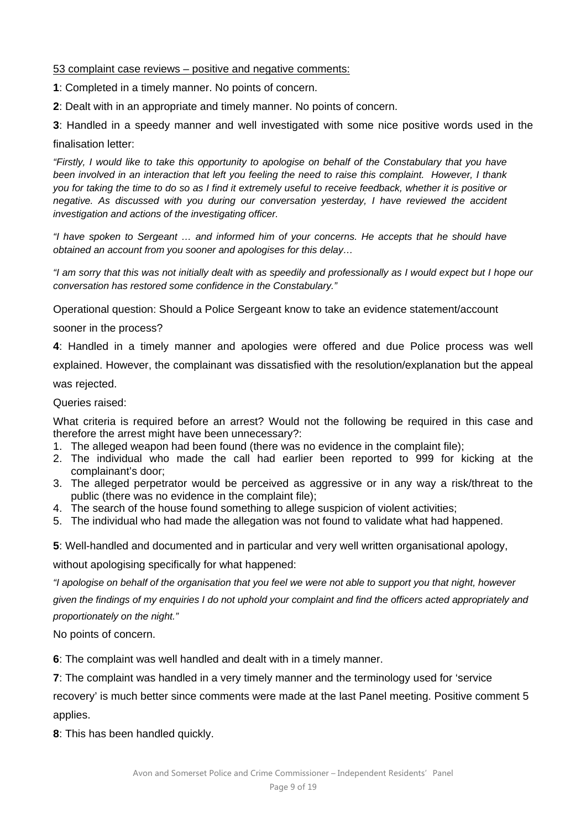### 53 complaint case reviews – positive and negative comments:

**1**: Completed in a timely manner. No points of concern.

**2**: Dealt with in an appropriate and timely manner. No points of concern.

**3**: Handled in a speedy manner and well investigated with some nice positive words used in the finalisation letter:

*"Firstly, I would like to take this opportunity to apologise on behalf of the Constabulary that you have been involved in an interaction that left you feeling the need to raise this complaint. However, I thank you for taking the time to do so as I find it extremely useful to receive feedback, whether it is positive or negative. As discussed with you during our conversation yesterday, I have reviewed the accident investigation and actions of the investigating officer.* 

*"I have spoken to Sergeant … and informed him of your concerns. He accepts that he should have obtained an account from you sooner and apologises for this delay…* 

*"I am sorry that this was not initially dealt with as speedily and professionally as I would expect but I hope our conversation has restored some confidence in the Constabulary."* 

Operational question: Should a Police Sergeant know to take an evidence statement/account

sooner in the process?

**4**: Handled in a timely manner and apologies were offered and due Police process was well explained. However, the complainant was dissatisfied with the resolution/explanation but the appeal

was rejected.

Queries raised:

What criteria is required before an arrest? Would not the following be required in this case and therefore the arrest might have been unnecessary?:

- 1. The alleged weapon had been found (there was no evidence in the complaint file);
- 2. The individual who made the call had earlier been reported to 999 for kicking at the complainant's door;
- 3. The alleged perpetrator would be perceived as aggressive or in any way a risk/threat to the public (there was no evidence in the complaint file);
- 4. The search of the house found something to allege suspicion of violent activities;
- 5. The individual who had made the allegation was not found to validate what had happened.

**5**: Well-handled and documented and in particular and very well written organisational apology,

without apologising specifically for what happened:

*"I apologise on behalf of the organisation that you feel we were not able to support you that night, however* 

*given the findings of my enquiries I do not uphold your complaint and find the officers acted appropriately and proportionately on the night."* 

No points of concern.

**6**: The complaint was well handled and dealt with in a timely manner.

**7**: The complaint was handled in a very timely manner and the terminology used for 'service

recovery' is much better since comments were made at the last Panel meeting. Positive comment 5 applies.

**8**: This has been handled quickly.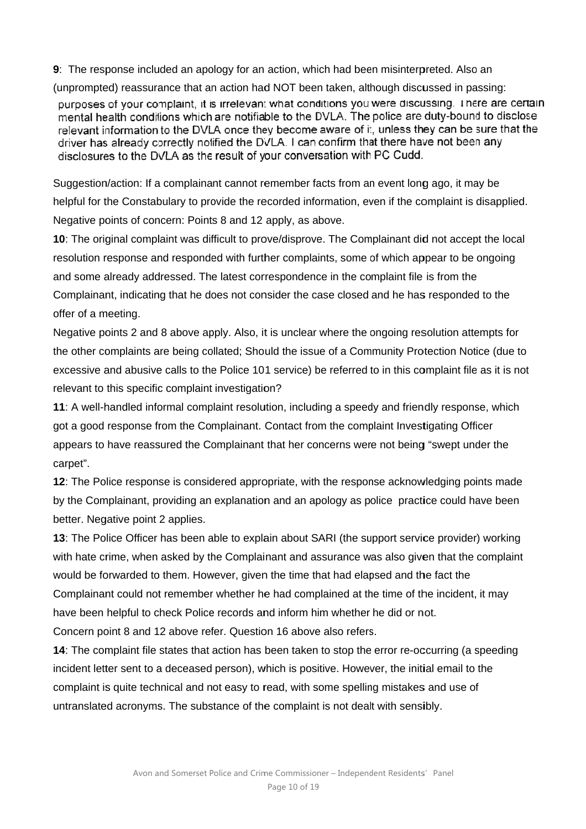9: The response included an apology for an action, which had been misinterpreted. Also an

(unprompted) reassurance that an action had NOT been taken, although discussed in passing: purposes of your complaint, it is irrelevant what conditions you were discussing. There are certain mental health conditions which are notifiable to the DVLA. The police are duty-bound to disclose relevant information to the DVLA once they become aware of it, unless they can be sure that the driver has already correctly notified the DVLA. I can confirm that there have not been any disclosures to the DVLA as the result of your conversation with PC Cudd.

Suggestion/action: If a complainant cannot remember facts from an event long ago, it may be helpful for the Constabulary to provide the recorded information, even if the complaint is disapplied. Negative points of concern: Points 8 and 12 apply, as above.

**10**: The original complaint was difficult to prove/disprove. The Complainant did not accept the local resolution response and responded with further complaints, some of which appear to be ongoing and some already addressed. The latest correspondence in the complaint file is from the Complainant, indicating that he does not consider the case closed and he has responded to the offer of a m meeting.

Negative points 2 and 8 above apply. Also, it is unclear where the ongoing resolution attempts for the other complaints are being collated; Should the issue of a Community Protection Notice (due to excessive and abusive calls to the Police 101 service) be referred to in this complaint file as it is not relevant to this specific complaint investigation?

11: A well-handled informal complaint resolution, including a speedy and friendly response, which got a good response from the Complainant. Contact from the complaint Investigating Officer appears to have reassured the Complainant that her concerns were not being "swept under the carpet".

**12**: The Police response is considered appropriate, with the response acknowledging points made by the Complainant, providing an explanation and an apology as police practice could have been better. Negative point 2 applies.

**13**: The Police Officer has been able to explain about SARI (the support service provider) working with hate crime, when asked by the Complainant and assurance was also given that the complaint would be forwarded to them. However, given the time that had elapsed and the fact the Complainant could not remember whether he had complained at the time of the incident, it may have been helpful to check Police records and inform him whether he did or not. ich had bee<br>
en taken, alth<br>
ditions you<br>
DVLA. The<br>
e aware of it<br>
confirm tha<br>
rsation with<br>
facts from ar<br>
facts from ar<br>
ormation, ev<br>
above.<br>
ve. The Com<br>
aints, some c<br>
ice in the contains<br>
case closed<br>
if where the

Concern point 8 and 12 above refer. Question 16 above also refers.

14: The complaint file states that action has been taken to stop the error re-occurring (a speeding incident letter sent to a deceased person), which is positive. However, the initial email to the complaint is quite technical and not easy to read, with some spelling mistakes and use of untranslated acronyms. The substance of the complaint is not dealt with sensibly.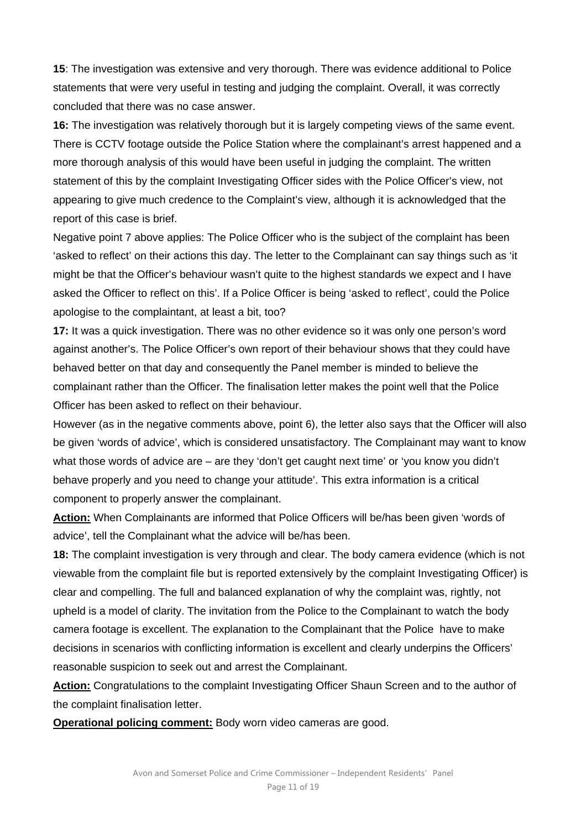**15**: The investigation was extensive and very thorough. There was evidence additional to Police statements that were very useful in testing and judging the complaint. Overall, it was correctly concluded that there was no case answer.

**16:** The investigation was relatively thorough but it is largely competing views of the same event. There is CCTV footage outside the Police Station where the complainant's arrest happened and a more thorough analysis of this would have been useful in judging the complaint. The written statement of this by the complaint Investigating Officer sides with the Police Officer's view, not appearing to give much credence to the Complaint's view, although it is acknowledged that the report of this case is brief.

Negative point 7 above applies: The Police Officer who is the subject of the complaint has been 'asked to reflect' on their actions this day. The letter to the Complainant can say things such as 'it might be that the Officer's behaviour wasn't quite to the highest standards we expect and I have asked the Officer to reflect on this'. If a Police Officer is being 'asked to reflect', could the Police apologise to the complaintant, at least a bit, too?

**17:** It was a quick investigation. There was no other evidence so it was only one person's word against another's. The Police Officer's own report of their behaviour shows that they could have behaved better on that day and consequently the Panel member is minded to believe the complainant rather than the Officer. The finalisation letter makes the point well that the Police Officer has been asked to reflect on their behaviour.

However (as in the negative comments above, point 6), the letter also says that the Officer will also be given 'words of advice', which is considered unsatisfactory. The Complainant may want to know what those words of advice are – are they 'don't get caught next time' or 'you know you didn't behave properly and you need to change your attitude'. This extra information is a critical component to properly answer the complainant.

**Action:** When Complainants are informed that Police Officers will be/has been given 'words of advice', tell the Complainant what the advice will be/has been.

**18:** The complaint investigation is very through and clear. The body camera evidence (which is not viewable from the complaint file but is reported extensively by the complaint Investigating Officer) is clear and compelling. The full and balanced explanation of why the complaint was, rightly, not upheld is a model of clarity. The invitation from the Police to the Complainant to watch the body camera footage is excellent. The explanation to the Complainant that the Police have to make decisions in scenarios with conflicting information is excellent and clearly underpins the Officers' reasonable suspicion to seek out and arrest the Complainant.

**Action:** Congratulations to the complaint Investigating Officer Shaun Screen and to the author of the complaint finalisation letter.

**Operational policing comment:** Body worn video cameras are good.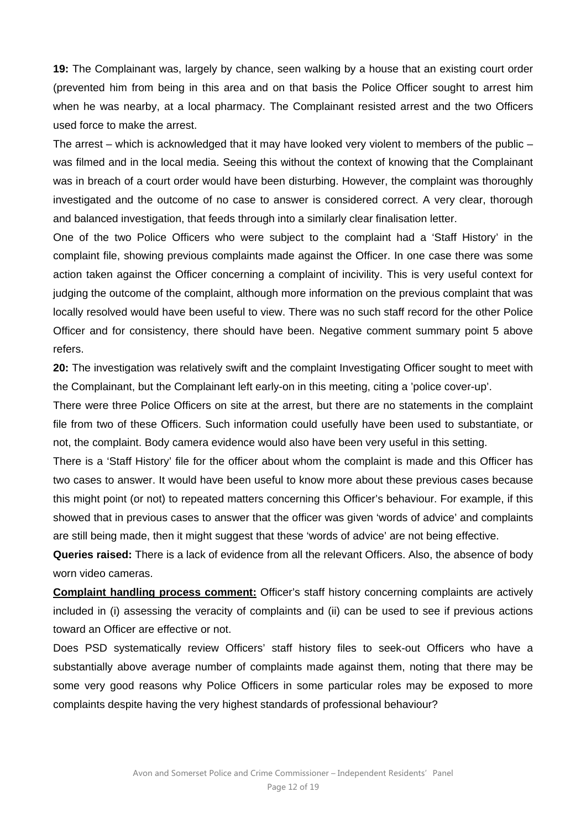**19:** The Complainant was, largely by chance, seen walking by a house that an existing court order (prevented him from being in this area and on that basis the Police Officer sought to arrest him when he was nearby, at a local pharmacy. The Complainant resisted arrest and the two Officers used force to make the arrest.

The arrest – which is acknowledged that it may have looked very violent to members of the public – was filmed and in the local media. Seeing this without the context of knowing that the Complainant was in breach of a court order would have been disturbing. However, the complaint was thoroughly investigated and the outcome of no case to answer is considered correct. A very clear, thorough and balanced investigation, that feeds through into a similarly clear finalisation letter.

One of the two Police Officers who were subject to the complaint had a 'Staff History' in the complaint file, showing previous complaints made against the Officer. In one case there was some action taken against the Officer concerning a complaint of incivility. This is very useful context for judging the outcome of the complaint, although more information on the previous complaint that was locally resolved would have been useful to view. There was no such staff record for the other Police Officer and for consistency, there should have been. Negative comment summary point 5 above refers.

**20:** The investigation was relatively swift and the complaint Investigating Officer sought to meet with the Complainant, but the Complainant left early-on in this meeting, citing a 'police cover-up'.

There were three Police Officers on site at the arrest, but there are no statements in the complaint file from two of these Officers. Such information could usefully have been used to substantiate, or not, the complaint. Body camera evidence would also have been very useful in this setting.

There is a 'Staff History' file for the officer about whom the complaint is made and this Officer has two cases to answer. It would have been useful to know more about these previous cases because this might point (or not) to repeated matters concerning this Officer's behaviour. For example, if this showed that in previous cases to answer that the officer was given 'words of advice' and complaints are still being made, then it might suggest that these 'words of advice' are not being effective.

**Queries raised:** There is a lack of evidence from all the relevant Officers. Also, the absence of body worn video cameras.

**Complaint handling process comment:** Officer's staff history concerning complaints are actively included in (i) assessing the veracity of complaints and (ii) can be used to see if previous actions toward an Officer are effective or not.

Does PSD systematically review Officers' staff history files to seek-out Officers who have a substantially above average number of complaints made against them, noting that there may be some very good reasons why Police Officers in some particular roles may be exposed to more complaints despite having the very highest standards of professional behaviour?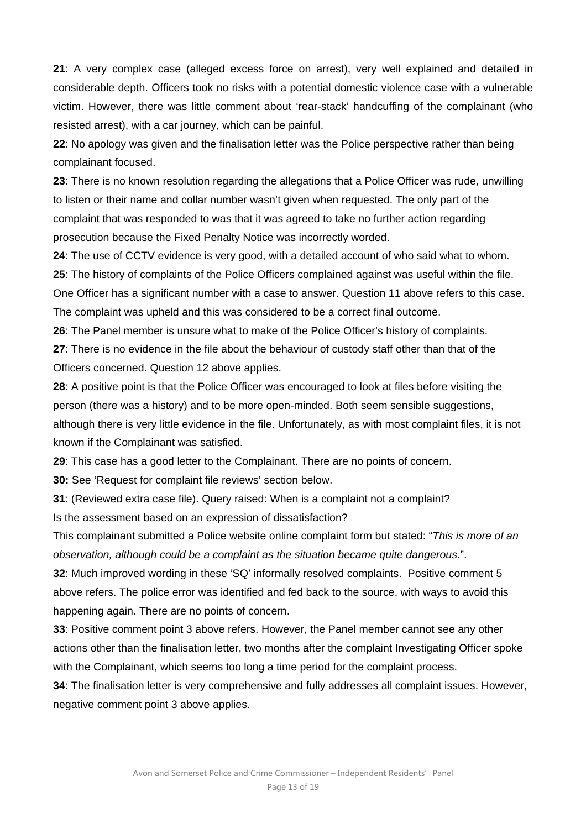**21**: A very complex case (alleged excess force on arrest), very well explained and detailed in considerable depth. Officers took no risks with a potential domestic violence case with a vulnerable victim. However, there was little comment about 'rear-stack' handcuffing of the complainant (who resisted arrest), with a car journey, which can be painful.

**22**: No apology was given and the finalisation letter was the Police perspective rather than being complainant focused.

**23**: There is no known resolution regarding the allegations that a Police Officer was rude, unwilling to listen or their name and collar number wasn't given when requested. The only part of the complaint that was responded to was that it was agreed to take no further action regarding prosecution because the Fixed Penalty Notice was incorrectly worded.

**24**: The use of CCTV evidence is very good, with a detailed account of who said what to whom. **25**: The history of complaints of the Police Officers complained against was useful within the file. One Officer has a significant number with a case to answer. Question 11 above refers to this case. The complaint was upheld and this was considered to be a correct final outcome.

**26**: The Panel member is unsure what to make of the Police Officer's history of complaints.

**27**: There is no evidence in the file about the behaviour of custody staff other than that of the Officers concerned. Question 12 above applies.

**28**: A positive point is that the Police Officer was encouraged to look at files before visiting the person (there was a history) and to be more open-minded. Both seem sensible suggestions, although there is very little evidence in the file. Unfortunately, as with most complaint files, it is not known if the Complainant was satisfied.

**29**: This case has a good letter to the Complainant. There are no points of concern.

**30:** See 'Request for complaint file reviews' section below.

**31**: (Reviewed extra case file). Query raised: When is a complaint not a complaint?

Is the assessment based on an expression of dissatisfaction?

This complainant submitted a Police website online complaint form but stated: "*This is more of an observation, although could be a complaint as the situation became quite dangerous*.".

**32**: Much improved wording in these 'SQ' informally resolved complaints. Positive comment 5 above refers. The police error was identified and fed back to the source, with ways to avoid this happening again. There are no points of concern.

**33**: Positive comment point 3 above refers. However, the Panel member cannot see any other actions other than the finalisation letter, two months after the complaint Investigating Officer spoke with the Complainant, which seems too long a time period for the complaint process.

**34**: The finalisation letter is very comprehensive and fully addresses all complaint issues. However, negative comment point 3 above applies.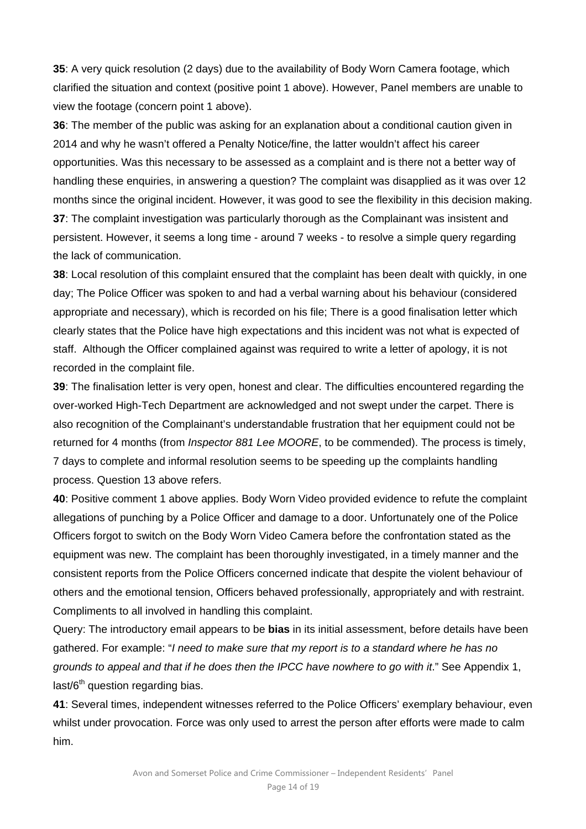**35**: A very quick resolution (2 days) due to the availability of Body Worn Camera footage, which clarified the situation and context (positive point 1 above). However, Panel members are unable to view the footage (concern point 1 above).

**36**: The member of the public was asking for an explanation about a conditional caution given in 2014 and why he wasn't offered a Penalty Notice/fine, the latter wouldn't affect his career opportunities. Was this necessary to be assessed as a complaint and is there not a better way of handling these enquiries, in answering a question? The complaint was disapplied as it was over 12 months since the original incident. However, it was good to see the flexibility in this decision making. **37**: The complaint investigation was particularly thorough as the Complainant was insistent and persistent. However, it seems a long time - around 7 weeks - to resolve a simple query regarding the lack of communication.

**38**: Local resolution of this complaint ensured that the complaint has been dealt with quickly, in one day; The Police Officer was spoken to and had a verbal warning about his behaviour (considered appropriate and necessary), which is recorded on his file; There is a good finalisation letter which clearly states that the Police have high expectations and this incident was not what is expected of staff. Although the Officer complained against was required to write a letter of apology, it is not recorded in the complaint file.

**39**: The finalisation letter is very open, honest and clear. The difficulties encountered regarding the over-worked High-Tech Department are acknowledged and not swept under the carpet. There is also recognition of the Complainant's understandable frustration that her equipment could not be returned for 4 months (from *Inspector 881 Lee MOORE*, to be commended). The process is timely, 7 days to complete and informal resolution seems to be speeding up the complaints handling process. Question 13 above refers.

**40**: Positive comment 1 above applies. Body Worn Video provided evidence to refute the complaint allegations of punching by a Police Officer and damage to a door. Unfortunately one of the Police Officers forgot to switch on the Body Worn Video Camera before the confrontation stated as the equipment was new. The complaint has been thoroughly investigated, in a timely manner and the consistent reports from the Police Officers concerned indicate that despite the violent behaviour of others and the emotional tension, Officers behaved professionally, appropriately and with restraint. Compliments to all involved in handling this complaint.

Query: The introductory email appears to be **bias** in its initial assessment, before details have been gathered. For example: "*I need to make sure that my report is to a standard where he has no grounds to appeal and that if he does then the IPCC have nowhere to go with it*." See Appendix 1, last/6<sup>th</sup> question regarding bias.

**41**: Several times, independent witnesses referred to the Police Officers' exemplary behaviour, even whilst under provocation. Force was only used to arrest the person after efforts were made to calm him.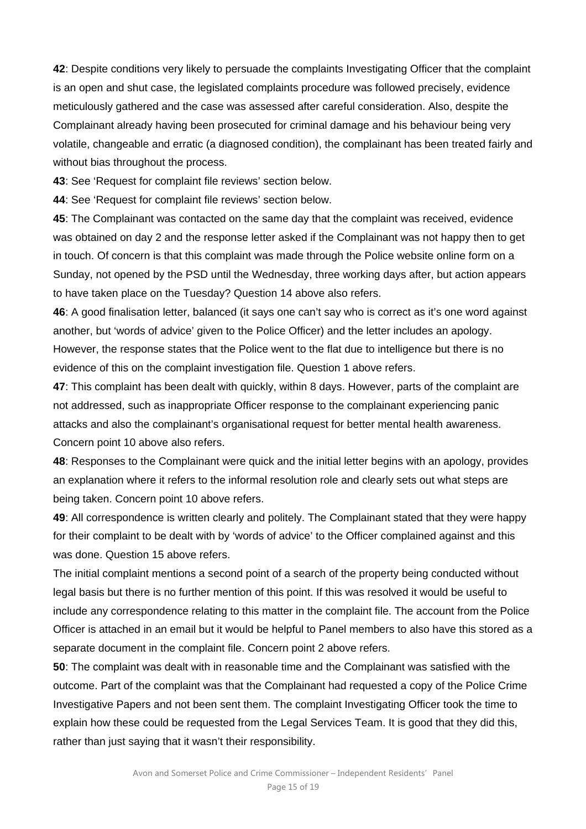**42**: Despite conditions very likely to persuade the complaints Investigating Officer that the complaint is an open and shut case, the legislated complaints procedure was followed precisely, evidence meticulously gathered and the case was assessed after careful consideration. Also, despite the Complainant already having been prosecuted for criminal damage and his behaviour being very volatile, changeable and erratic (a diagnosed condition), the complainant has been treated fairly and without bias throughout the process.

**43**: See 'Request for complaint file reviews' section below.

**44**: See 'Request for complaint file reviews' section below.

**45**: The Complainant was contacted on the same day that the complaint was received, evidence was obtained on day 2 and the response letter asked if the Complainant was not happy then to get in touch. Of concern is that this complaint was made through the Police website online form on a Sunday, not opened by the PSD until the Wednesday, three working days after, but action appears to have taken place on the Tuesday? Question 14 above also refers.

**46**: A good finalisation letter, balanced (it says one can't say who is correct as it's one word against another, but 'words of advice' given to the Police Officer) and the letter includes an apology. However, the response states that the Police went to the flat due to intelligence but there is no evidence of this on the complaint investigation file. Question 1 above refers.

**47**: This complaint has been dealt with quickly, within 8 days. However, parts of the complaint are not addressed, such as inappropriate Officer response to the complainant experiencing panic attacks and also the complainant's organisational request for better mental health awareness. Concern point 10 above also refers.

**48**: Responses to the Complainant were quick and the initial letter begins with an apology, provides an explanation where it refers to the informal resolution role and clearly sets out what steps are being taken. Concern point 10 above refers.

**49**: All correspondence is written clearly and politely. The Complainant stated that they were happy for their complaint to be dealt with by 'words of advice' to the Officer complained against and this was done. Question 15 above refers.

The initial complaint mentions a second point of a search of the property being conducted without legal basis but there is no further mention of this point. If this was resolved it would be useful to include any correspondence relating to this matter in the complaint file. The account from the Police Officer is attached in an email but it would be helpful to Panel members to also have this stored as a separate document in the complaint file. Concern point 2 above refers.

**50**: The complaint was dealt with in reasonable time and the Complainant was satisfied with the outcome. Part of the complaint was that the Complainant had requested a copy of the Police Crime Investigative Papers and not been sent them. The complaint Investigating Officer took the time to explain how these could be requested from the Legal Services Team. It is good that they did this, rather than just saying that it wasn't their responsibility.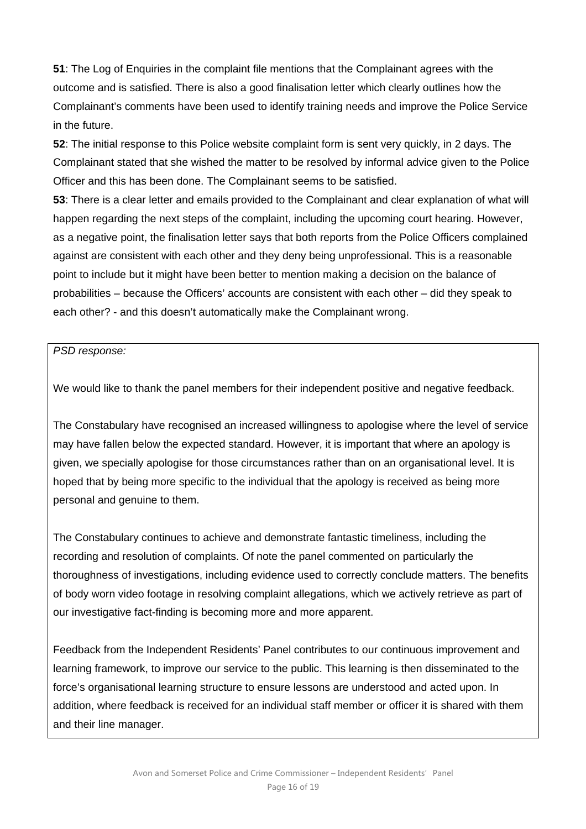**51**: The Log of Enquiries in the complaint file mentions that the Complainant agrees with the outcome and is satisfied. There is also a good finalisation letter which clearly outlines how the Complainant's comments have been used to identify training needs and improve the Police Service in the future.

**52**: The initial response to this Police website complaint form is sent very quickly, in 2 days. The Complainant stated that she wished the matter to be resolved by informal advice given to the Police Officer and this has been done. The Complainant seems to be satisfied.

**53**: There is a clear letter and emails provided to the Complainant and clear explanation of what will happen regarding the next steps of the complaint, including the upcoming court hearing. However, as a negative point, the finalisation letter says that both reports from the Police Officers complained against are consistent with each other and they deny being unprofessional. This is a reasonable point to include but it might have been better to mention making a decision on the balance of probabilities – because the Officers' accounts are consistent with each other – did they speak to each other? - and this doesn't automatically make the Complainant wrong.

*PSD response:* 

We would like to thank the panel members for their independent positive and negative feedback.

The Constabulary have recognised an increased willingness to apologise where the level of service may have fallen below the expected standard. However, it is important that where an apology is given, we specially apologise for those circumstances rather than on an organisational level. It is hoped that by being more specific to the individual that the apology is received as being more personal and genuine to them.

The Constabulary continues to achieve and demonstrate fantastic timeliness, including the recording and resolution of complaints. Of note the panel commented on particularly the thoroughness of investigations, including evidence used to correctly conclude matters. The benefits of body worn video footage in resolving complaint allegations, which we actively retrieve as part of our investigative fact-finding is becoming more and more apparent.

Feedback from the Independent Residents' Panel contributes to our continuous improvement and learning framework, to improve our service to the public. This learning is then disseminated to the force's organisational learning structure to ensure lessons are understood and acted upon. In addition, where feedback is received for an individual staff member or officer it is shared with them and their line manager.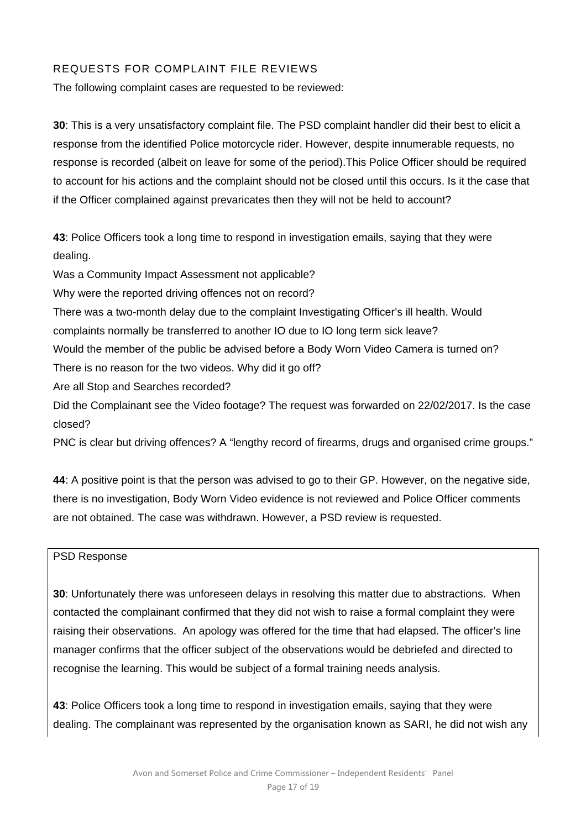## REQUESTS FOR COMPLAINT FILE REVIEWS

The following complaint cases are requested to be reviewed:

**30**: This is a very unsatisfactory complaint file. The PSD complaint handler did their best to elicit a response from the identified Police motorcycle rider. However, despite innumerable requests, no response is recorded (albeit on leave for some of the period).This Police Officer should be required to account for his actions and the complaint should not be closed until this occurs. Is it the case that if the Officer complained against prevaricates then they will not be held to account?

**43**: Police Officers took a long time to respond in investigation emails, saying that they were dealing.

Was a Community Impact Assessment not applicable?

Why were the reported driving offences not on record?

There was a two-month delay due to the complaint Investigating Officer's ill health. Would complaints normally be transferred to another IO due to IO long term sick leave?

Would the member of the public be advised before a Body Worn Video Camera is turned on?

There is no reason for the two videos. Why did it go off?

Are all Stop and Searches recorded?

Did the Complainant see the Video footage? The request was forwarded on 22/02/2017. Is the case closed?

PNC is clear but driving offences? A "lengthy record of firearms, drugs and organised crime groups."

**44**: A positive point is that the person was advised to go to their GP. However, on the negative side, there is no investigation, Body Worn Video evidence is not reviewed and Police Officer comments are not obtained. The case was withdrawn. However, a PSD review is requested.

#### PSD Response

**30**: Unfortunately there was unforeseen delays in resolving this matter due to abstractions. When contacted the complainant confirmed that they did not wish to raise a formal complaint they were raising their observations. An apology was offered for the time that had elapsed. The officer's line manager confirms that the officer subject of the observations would be debriefed and directed to recognise the learning. This would be subject of a formal training needs analysis.

**43**: Police Officers took a long time to respond in investigation emails, saying that they were dealing. The complainant was represented by the organisation known as SARI, he did not wish any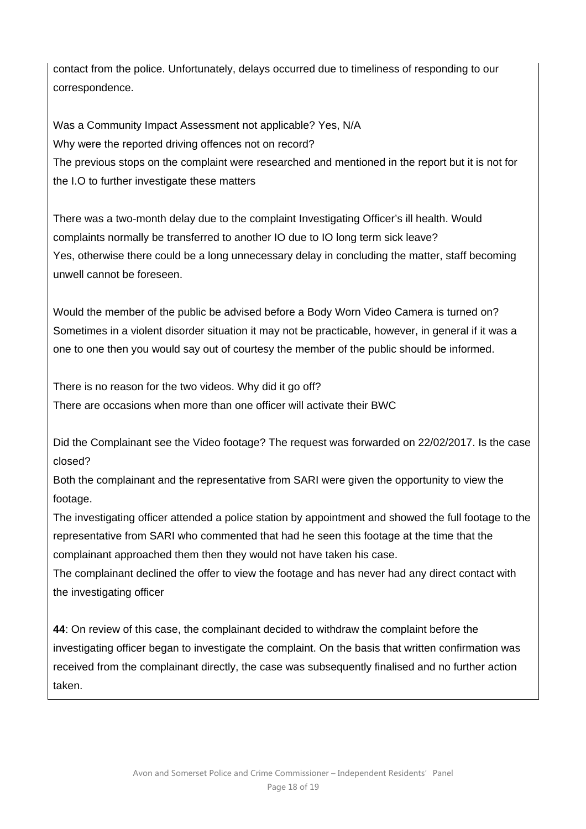contact from the police. Unfortunately, delays occurred due to timeliness of responding to our correspondence.

Was a Community Impact Assessment not applicable? Yes, N/A Why were the reported driving offences not on record? The previous stops on the complaint were researched and mentioned in the report but it is not for the I.O to further investigate these matters

There was a two-month delay due to the complaint Investigating Officer's ill health. Would complaints normally be transferred to another IO due to IO long term sick leave? Yes, otherwise there could be a long unnecessary delay in concluding the matter, staff becoming unwell cannot be foreseen.

Would the member of the public be advised before a Body Worn Video Camera is turned on? Sometimes in a violent disorder situation it may not be practicable, however, in general if it was a one to one then you would say out of courtesy the member of the public should be informed.

There is no reason for the two videos. Why did it go off? There are occasions when more than one officer will activate their BWC

Did the Complainant see the Video footage? The request was forwarded on 22/02/2017. Is the case closed?

Both the complainant and the representative from SARI were given the opportunity to view the footage.

The investigating officer attended a police station by appointment and showed the full footage to the representative from SARI who commented that had he seen this footage at the time that the complainant approached them then they would not have taken his case.

The complainant declined the offer to view the footage and has never had any direct contact with the investigating officer

**44**: On review of this case, the complainant decided to withdraw the complaint before the investigating officer began to investigate the complaint. On the basis that written confirmation was received from the complainant directly, the case was subsequently finalised and no further action taken.